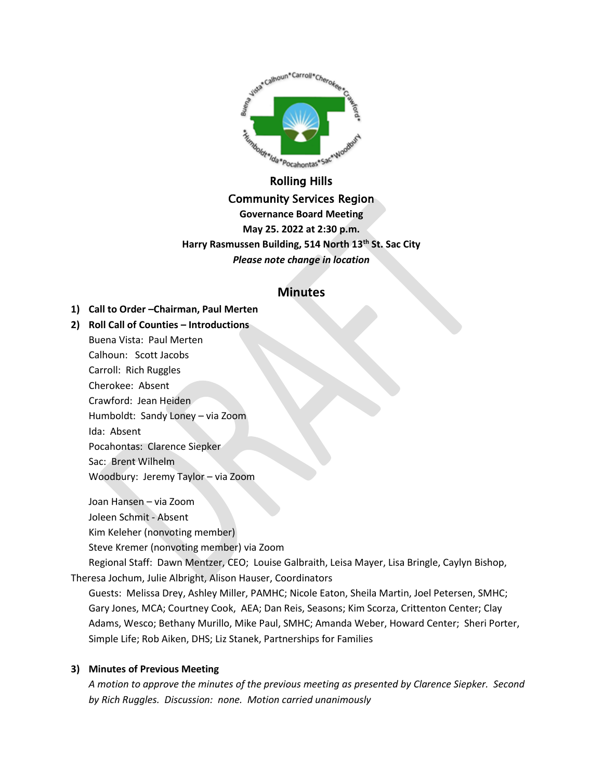

Community Services Region

**Governance Board Meeting May 25. 2022 at 2:30 p.m. Harry Rasmussen Building, 514 North 13th St. Sac City** *Please note change in location*

# **Minutes**

- **1) Call to Order –Chairman, Paul Merten**
- **2) Roll Call of Counties – Introductions**

Buena Vista: Paul Merten Calhoun: Scott Jacobs Carroll: Rich Ruggles Cherokee: Absent Crawford: Jean Heiden Humboldt: Sandy Loney – via Zoom Ida: Absent Pocahontas: Clarence Siepker Sac: Brent Wilhelm Woodbury: Jeremy Taylor – via Zoom

Joan Hansen – via Zoom Joleen Schmit - Absent Kim Keleher (nonvoting member)

Steve Kremer (nonvoting member) via Zoom

Regional Staff: Dawn Mentzer, CEO; Louise Galbraith, Leisa Mayer, Lisa Bringle, Caylyn Bishop, Theresa Jochum, Julie Albright, Alison Hauser, Coordinators

Guests: Melissa Drey, Ashley Miller, PAMHC; Nicole Eaton, Sheila Martin, Joel Petersen, SMHC; Gary Jones, MCA; Courtney Cook, AEA; Dan Reis, Seasons; Kim Scorza, Crittenton Center; Clay Adams, Wesco; Bethany Murillo, Mike Paul, SMHC; Amanda Weber, Howard Center; Sheri Porter, Simple Life; Rob Aiken, DHS; Liz Stanek, Partnerships for Families

## **3) Minutes of Previous Meeting**

*A motion to approve the minutes of the previous meeting as presented by Clarence Siepker. Second by Rich Ruggles. Discussion: none. Motion carried unanimously*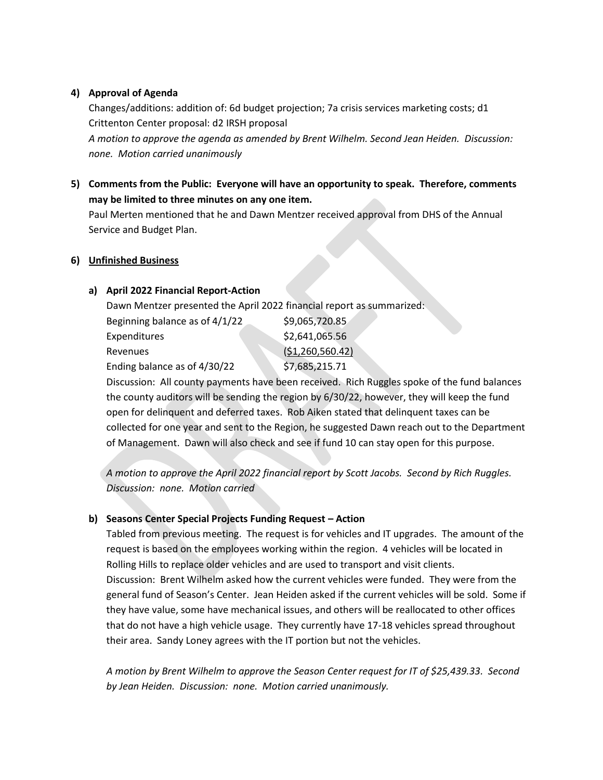## **4) Approval of Agenda**

Changes/additions: addition of: 6d budget projection; 7a crisis services marketing costs; d1 Crittenton Center proposal: d2 IRSH proposal *A motion to approve the agenda as amended by Brent Wilhelm. Second Jean Heiden. Discussion: none. Motion carried unanimously*

**5) Comments from the Public: Everyone will have an opportunity to speak. Therefore, comments may be limited to three minutes on any one item.**

Paul Merten mentioned that he and Dawn Mentzer received approval from DHS of the Annual Service and Budget Plan.

## **6) Unfinished Business**

## **a) April 2022 Financial Report-Action**

Dawn Mentzer presented the April 2022 financial report as summarized:

| Beginning balance as of 4/1/22 | \$9,065,720.85    |
|--------------------------------|-------------------|
| <b>Expenditures</b>            | \$2,641,065.56    |
| Revenues                       | (51, 260, 560.42) |
| Ending balance as of 4/30/22   | \$7,685,215.71    |
|                                |                   |

Discussion: All county payments have been received. Rich Ruggles spoke of the fund balances the county auditors will be sending the region by 6/30/22, however, they will keep the fund open for delinquent and deferred taxes. Rob Aiken stated that delinquent taxes can be collected for one year and sent to the Region, he suggested Dawn reach out to the Department of Management. Dawn will also check and see if fund 10 can stay open for this purpose.

*A motion to approve the April 2022 financial report by Scott Jacobs. Second by Rich Ruggles. Discussion: none. Motion carried*

## **b) Seasons Center Special Projects Funding Request – Action**

Tabled from previous meeting. The request is for vehicles and IT upgrades. The amount of the request is based on the employees working within the region. 4 vehicles will be located in Rolling Hills to replace older vehicles and are used to transport and visit clients. Discussion: Brent Wilhelm asked how the current vehicles were funded. They were from the general fund of Season's Center. Jean Heiden asked if the current vehicles will be sold. Some if they have value, some have mechanical issues, and others will be reallocated to other offices that do not have a high vehicle usage. They currently have 17-18 vehicles spread throughout their area. Sandy Loney agrees with the IT portion but not the vehicles.

*A motion by Brent Wilhelm to approve the Season Center request for IT of \$25,439.33. Second by Jean Heiden. Discussion: none. Motion carried unanimously.*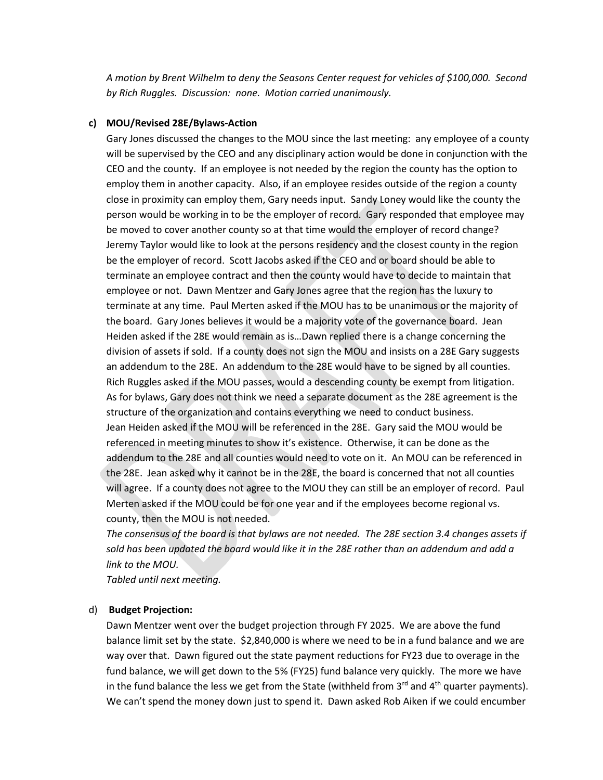*A motion by Brent Wilhelm to deny the Seasons Center request for vehicles of \$100,000. Second by Rich Ruggles. Discussion: none. Motion carried unanimously.*

### **c) MOU/Revised 28E/Bylaws-Action**

Gary Jones discussed the changes to the MOU since the last meeting: any employee of a county will be supervised by the CEO and any disciplinary action would be done in conjunction with the CEO and the county. If an employee is not needed by the region the county has the option to employ them in another capacity. Also, if an employee resides outside of the region a county close in proximity can employ them, Gary needs input. Sandy Loney would like the county the person would be working in to be the employer of record. Gary responded that employee may be moved to cover another county so at that time would the employer of record change? Jeremy Taylor would like to look at the persons residency and the closest county in the region be the employer of record. Scott Jacobs asked if the CEO and or board should be able to terminate an employee contract and then the county would have to decide to maintain that employee or not. Dawn Mentzer and Gary Jones agree that the region has the luxury to terminate at any time. Paul Merten asked if the MOU has to be unanimous or the majority of the board. Gary Jones believes it would be a majority vote of the governance board. Jean Heiden asked if the 28E would remain as is…Dawn replied there is a change concerning the division of assets if sold. If a county does not sign the MOU and insists on a 28E Gary suggests an addendum to the 28E. An addendum to the 28E would have to be signed by all counties. Rich Ruggles asked if the MOU passes, would a descending county be exempt from litigation. As for bylaws, Gary does not think we need a separate document as the 28E agreement is the structure of the organization and contains everything we need to conduct business. Jean Heiden asked if the MOU will be referenced in the 28E. Gary said the MOU would be referenced in meeting minutes to show it's existence. Otherwise, it can be done as the addendum to the 28E and all counties would need to vote on it. An MOU can be referenced in the 28E. Jean asked why it cannot be in the 28E, the board is concerned that not all counties will agree. If a county does not agree to the MOU they can still be an employer of record. Paul Merten asked if the MOU could be for one year and if the employees become regional vs. county, then the MOU is not needed.

*The consensus of the board is that bylaws are not needed. The 28E section 3.4 changes assets if sold has been updated the board would like it in the 28E rather than an addendum and add a link to the MOU.* 

*Tabled until next meeting.*

#### d) **Budget Projection:**

Dawn Mentzer went over the budget projection through FY 2025. We are above the fund balance limit set by the state. \$2,840,000 is where we need to be in a fund balance and we are way over that. Dawn figured out the state payment reductions for FY23 due to overage in the fund balance, we will get down to the 5% (FY25) fund balance very quickly. The more we have in the fund balance the less we get from the State (withheld from  $3<sup>rd</sup>$  and  $4<sup>th</sup>$  quarter payments). We can't spend the money down just to spend it. Dawn asked Rob Aiken if we could encumber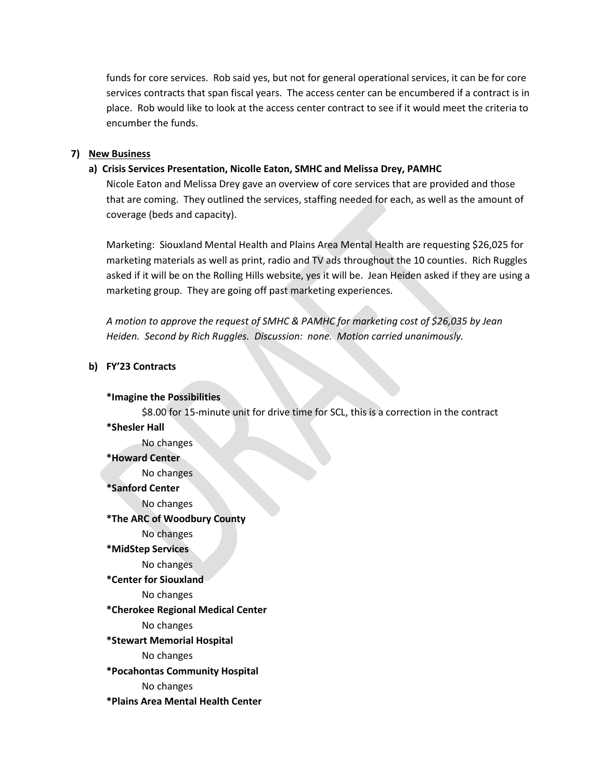funds for core services. Rob said yes, but not for general operational services, it can be for core services contracts that span fiscal years. The access center can be encumbered if a contract is in place. Rob would like to look at the access center contract to see if it would meet the criteria to encumber the funds.

#### **7) New Business**

### **a) Crisis Services Presentation, Nicolle Eaton, SMHC and Melissa Drey, PAMHC**

Nicole Eaton and Melissa Drey gave an overview of core services that are provided and those that are coming. They outlined the services, staffing needed for each, as well as the amount of coverage (beds and capacity).

Marketing: Siouxland Mental Health and Plains Area Mental Health are requesting \$26,025 for marketing materials as well as print, radio and TV ads throughout the 10 counties. Rich Ruggles asked if it will be on the Rolling Hills website, yes it will be. Jean Heiden asked if they are using a marketing group. They are going off past marketing experiences.

*A motion to approve the request of SMHC & PAMHC for marketing cost of \$26,035 by Jean Heiden. Second by Rich Ruggles. Discussion: none. Motion carried unanimously.*

#### **b) FY'23 Contracts**

#### **\*Imagine the Possibilities**

\$8.00 for 15-minute unit for drive time for SCL, this is a correction in the contract **\*Shesler Hall** No changes

## **\*Howard Center**

No changes

#### **\*Sanford Center**

No changes

#### **\*The ARC of Woodbury County**

- No changes
- **\*MidStep Services**

## No changes

#### **\*Center for Siouxland**

No changes

## **\*Cherokee Regional Medical Center**

No changes

#### **\*Stewart Memorial Hospital**

No changes

#### **\*Pocahontas Community Hospital**

No changes

#### **\*Plains Area Mental Health Center**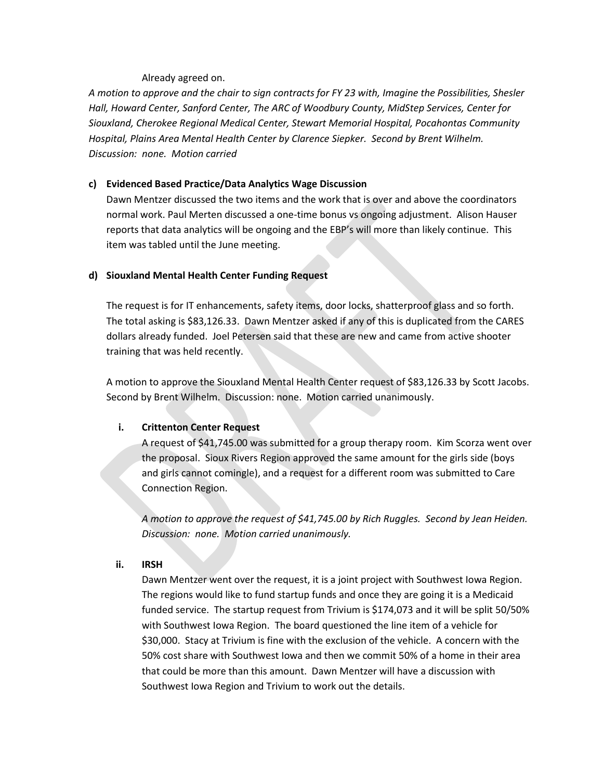### Already agreed on.

*A motion to approve and the chair to sign contracts for FY 23 with, Imagine the Possibilities, Shesler Hall, Howard Center, Sanford Center, The ARC of Woodbury County, MidStep Services, Center for Siouxland, Cherokee Regional Medical Center, Stewart Memorial Hospital, Pocahontas Community Hospital, Plains Area Mental Health Center by Clarence Siepker. Second by Brent Wilhelm. Discussion: none. Motion carried*

## **c) Evidenced Based Practice/Data Analytics Wage Discussion**

Dawn Mentzer discussed the two items and the work that is over and above the coordinators normal work. Paul Merten discussed a one-time bonus vs ongoing adjustment. Alison Hauser reports that data analytics will be ongoing and the EBP's will more than likely continue. This item was tabled until the June meeting.

### **d) Siouxland Mental Health Center Funding Request**

The request is for IT enhancements, safety items, door locks, shatterproof glass and so forth. The total asking is \$83,126.33. Dawn Mentzer asked if any of this is duplicated from the CARES dollars already funded. Joel Petersen said that these are new and came from active shooter training that was held recently.

A motion to approve the Siouxland Mental Health Center request of \$83,126.33 by Scott Jacobs. Second by Brent Wilhelm. Discussion: none. Motion carried unanimously.

## **i. Crittenton Center Request**

A request of \$41,745.00 was submitted for a group therapy room. Kim Scorza went over the proposal. Sioux Rivers Region approved the same amount for the girls side (boys and girls cannot comingle), and a request for a different room was submitted to Care Connection Region.

*A motion to approve the request of \$41,745.00 by Rich Ruggles. Second by Jean Heiden. Discussion: none. Motion carried unanimously.* 

#### **ii. IRSH**

Dawn Mentzer went over the request, it is a joint project with Southwest Iowa Region. The regions would like to fund startup funds and once they are going it is a Medicaid funded service. The startup request from Trivium is \$174,073 and it will be split 50/50% with Southwest Iowa Region. The board questioned the line item of a vehicle for \$30,000. Stacy at Trivium is fine with the exclusion of the vehicle. A concern with the 50% cost share with Southwest Iowa and then we commit 50% of a home in their area that could be more than this amount. Dawn Mentzer will have a discussion with Southwest Iowa Region and Trivium to work out the details.